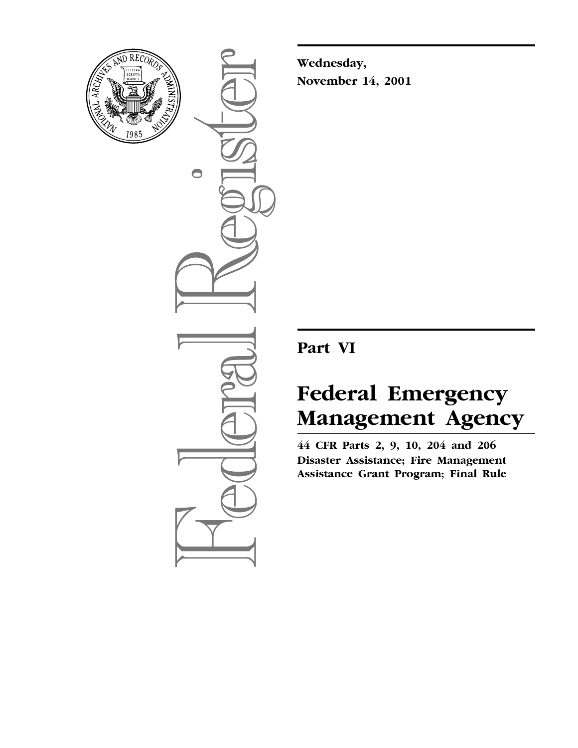

 $\bigcirc$ 

**Wednesday, November 14, 2001**

# **Part VI**

# **Federal Emergency Management Agency**

**44 CFR Parts 2, 9, 10, 204 and 206 Disaster Assistance; Fire Management Assistance Grant Program; Final Rule**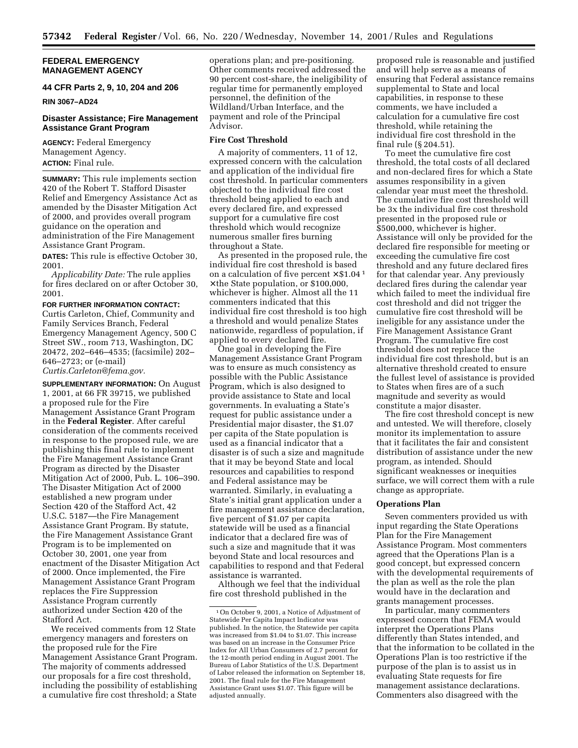#### **FEDERAL EMERGENCY MANAGEMENT AGENCY**

# **44 CFR Parts 2, 9, 10, 204 and 206**

**RIN 3067–AD24**

# **Disaster Assistance; Fire Management Assistance Grant Program**

**AGENCY:** Federal Emergency Management Agency. **ACTION:** Final rule.

**SUMMARY:** This rule implements section 420 of the Robert T. Stafford Disaster Relief and Emergency Assistance Act as amended by the Disaster Mitigation Act of 2000, and provides overall program guidance on the operation and administration of the Fire Management Assistance Grant Program.

**DATES:** This rule is effective October 30, 2001.

*Applicability Date:* The rule applies for fires declared on or after October 30, 2001.

**FOR FURTHER INFORMATION CONTACT:** Curtis Carleton, Chief, Community and Family Services Branch, Federal Emergency Management Agency, 500 C Street SW., room 713, Washington, DC 20472, 202–646–4535; (facsimile) 202– 646–2723; or (e-mail) *Curtis.Carleton@fema.gov.*

**SUPPLEMENTARY INFORMATION:** On August 1, 2001, at 66 FR 39715, we published a proposed rule for the Fire Management Assistance Grant Program in the **Federal Register**. After careful consideration of the comments received in response to the proposed rule, we are publishing this final rule to implement the Fire Management Assistance Grant Program as directed by the Disaster Mitigation Act of 2000, Pub. L. 106–390. The Disaster Mitigation Act of 2000 established a new program under Section 420 of the Stafford Act, 42 U.S.C. 5187—the Fire Management Assistance Grant Program. By statute, the Fire Management Assistance Grant Program is to be implemented on October 30, 2001, one year from enactment of the Disaster Mitigation Act of 2000. Once implemented, the Fire Management Assistance Grant Program replaces the Fire Suppression Assistance Program currently authorized under Section 420 of the Stafford Act.

We received comments from 12 State emergency managers and foresters on the proposed rule for the Fire Management Assistance Grant Program. The majority of comments addressed our proposals for a fire cost threshold, including the possibility of establishing a cumulative fire cost threshold; a State

operations plan; and pre-positioning. Other comments received addressed the 90 percent cost-share, the ineligibility of regular time for permanently employed personnel, the definition of the Wildland/Urban Interface, and the payment and role of the Principal Advisor.

#### **Fire Cost Threshold**

A majority of commenters, 11 of 12, expressed concern with the calculation and application of the individual fire cost threshold. In particular commenters objected to the individual fire cost threshold being applied to each and every declared fire, and expressed support for a cumulative fire cost threshold which would recognize numerous smaller fires burning throughout a State.

As presented in the proposed rule, the individual fire cost threshold is based on a calculation of five percent  $\times$  \$1.04<sup>1</sup> × the State population, or \$100,000, whichever is higher. Almost all the 11 commenters indicated that this individual fire cost threshold is too high a threshold and would penalize States nationwide, regardless of population, if applied to every declared fire.

One goal in developing the Fire Management Assistance Grant Program was to ensure as much consistency as possible with the Public Assistance Program, which is also designed to provide assistance to State and local governments. In evaluating a State's request for public assistance under a Presidential major disaster, the \$1.07 per capita of the State population is used as a financial indicator that a disaster is of such a size and magnitude that it may be beyond State and local resources and capabilities to respond and Federal assistance may be warranted. Similarly, in evaluating a State's initial grant application under a fire management assistance declaration, five percent of \$1.07 per capita statewide will be used as a financial indicator that a declared fire was of such a size and magnitude that it was beyond State and local resources and capabilities to respond and that Federal assistance is warranted.

Although we feel that the individual fire cost threshold published in the

proposed rule is reasonable and justified and will help serve as a means of ensuring that Federal assistance remains supplemental to State and local capabilities, in response to these comments, we have included a calculation for a cumulative fire cost threshold, while retaining the individual fire cost threshold in the final rule (§ 204.51).

To meet the cumulative fire cost threshold, the total costs of all declared and non-declared fires for which a State assumes responsibility in a given calendar year must meet the threshold. The cumulative fire cost threshold will be 3x the individual fire cost threshold presented in the proposed rule or \$500,000, whichever is higher. Assistance will only be provided for the declared fire responsible for meeting or exceeding the cumulative fire cost threshold and any future declared fires for that calendar year. Any previously declared fires during the calendar year which failed to meet the individual fire cost threshold and did not trigger the cumulative fire cost threshold will be ineligible for any assistance under the Fire Management Assistance Grant Program. The cumulative fire cost threshold does not replace the individual fire cost threshold, but is an alternative threshold created to ensure the fullest level of assistance is provided to States when fires are of a such magnitude and severity as would constitute a major disaster.

The fire cost threshold concept is new and untested. We will therefore, closely monitor its implementation to assure that it facilitates the fair and consistent distribution of assistance under the new program, as intended. Should significant weaknesses or inequities surface, we will correct them with a rule change as appropriate.

#### **Operations Plan**

Seven commenters provided us with input regarding the State Operations Plan for the Fire Management Assistance Program. Most commenters agreed that the Operations Plan is a good concept, but expressed concern with the developmental requirements of the plan as well as the role the plan would have in the declaration and grants management processes.

In particular, many commenters expressed concern that FEMA would interpret the Operations Plans differently than States intended, and that the information to be collated in the Operations Plan is too restrictive if the purpose of the plan is to assist us in evaluating State requests for fire management assistance declarations. Commenters also disagreed with the

<sup>1</sup>On October 9, 2001, a Notice of Adjustment of Statewide Per Capita Impact Indicator was published. In the notice, the Statewide per capita was increased from \$1.04 to \$1.07. This increase was based on an increase in the Consumer Price Index for All Urban Consumers of 2.7 percent for the 12-month period ending in August 2001. The Bureau of Labor Statistics of the U.S. Department of Labor released the information on September 18, 2001. The final rule for the Fire Management Assistance Grant uses \$1.07. This figure will be adjusted annually.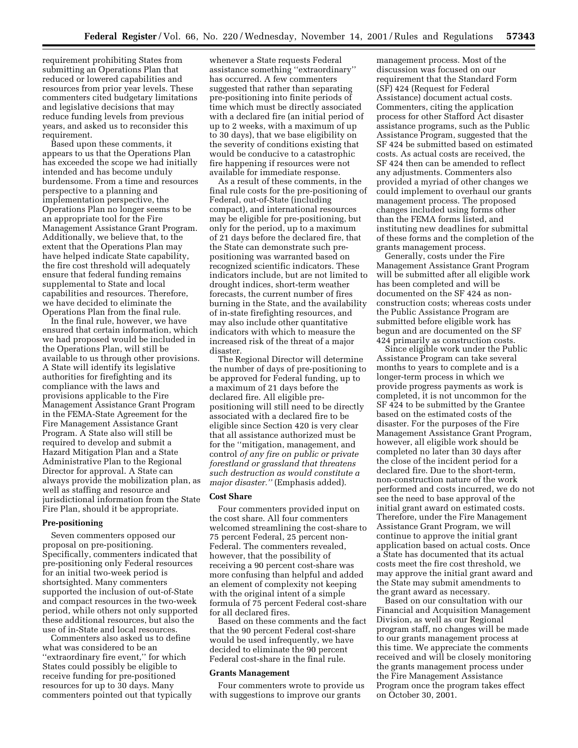requirement prohibiting States from submitting an Operations Plan that reduced or lowered capabilities and resources from prior year levels. These commenters cited budgetary limitations and legislative decisions that may reduce funding levels from previous years, and asked us to reconsider this requirement.

Based upon these comments, it appears to us that the Operations Plan has exceeded the scope we had initially intended and has become unduly burdensome. From a time and resources perspective to a planning and implementation perspective, the Operations Plan no longer seems to be an appropriate tool for the Fire Management Assistance Grant Program. Additionally, we believe that, to the extent that the Operations Plan may have helped indicate State capability, the fire cost threshold will adequately ensure that federal funding remains supplemental to State and local capabilities and resources. Therefore, we have decided to eliminate the Operations Plan from the final rule.

In the final rule, however, we have ensured that certain information, which we had proposed would be included in the Operations Plan, will still be available to us through other provisions. A State will identify its legislative authorities for firefighting and its compliance with the laws and provisions applicable to the Fire Management Assistance Grant Program in the FEMA-State Agreement for the Fire Management Assistance Grant Program. A State also will still be required to develop and submit a Hazard Mitigation Plan and a State Administrative Plan to the Regional Director for approval. A State can always provide the mobilization plan, as well as staffing and resource and jurisdictional information from the State Fire Plan, should it be appropriate.

# **Pre-positioning**

Seven commenters opposed our proposal on pre-positioning. Specifically, commenters indicated that pre-positioning only Federal resources for an initial two-week period is shortsighted. Many commenters supported the inclusion of out-of-State and compact resources in the two-week period, while others not only supported these additional resources, but also the use of in-State and local resources. Commenters also asked us to define

what was considered to be an ''extraordinary fire event,'' for which States could possibly be eligible to receive funding for pre-positioned resources for up to 30 days. Many commenters pointed out that typically whenever a State requests Federal assistance something ''extraordinary'' has occurred. A few commenters suggested that rather than separating pre-positioning into finite periods of time which must be directly associated with a declared fire (an initial period of up to 2 weeks, with a maximum of up to 30 days), that we base eligibility on the severity of conditions existing that would be conducive to a catastrophic fire happening if resources were not available for immediate response.

As a result of these comments, in the final rule costs for the pre-positioning of Federal, out-of-State (including compact), and international resources may be eligible for pre-positioning, but only for the period, up to a maximum of 21 days before the declared fire, that the State can demonstrate such prepositioning was warranted based on recognized scientific indicators. These indicators include, but are not limited to drought indices, short-term weather forecasts, the current number of fires burning in the State, and the availability of in-state firefighting resources, and may also include other quantitative indicators with which to measure the increased risk of the threat of a major disaster.

The Regional Director will determine the number of days of pre-positioning to be approved for Federal funding, up to a maximum of 21 days before the declared fire. All eligible prepositioning will still need to be directly associated with a declared fire to be eligible since Section 420 is very clear that all assistance authorized must be for the ''mitigation, management, and control *of any fire on public or private forestland or grassland that threatens such destruction as would constitute a major disaster.''* (Emphasis added).

# **Cost Share**

Four commenters provided input on the cost share. All four commenters welcomed streamlining the cost-share to 75 percent Federal, 25 percent non-Federal. The commenters revealed, however, that the possibility of receiving a 90 percent cost-share was more confusing than helpful and added an element of complexity not keeping with the original intent of a simple formula of 75 percent Federal cost-share for all declared fires.

Based on these comments and the fact that the 90 percent Federal cost-share would be used infrequently, we have decided to eliminate the 90 percent Federal cost-share in the final rule.

#### **Grants Management**

Four commenters wrote to provide us with suggestions to improve our grants

management process. Most of the discussion was focused on our requirement that the Standard Form (SF) 424 (Request for Federal Assistance) document actual costs. Commenters, citing the application process for other Stafford Act disaster assistance programs, such as the Public Assistance Program, suggested that the SF 424 be submitted based on estimated costs. As actual costs are received, the SF 424 then can be amended to reflect any adjustments. Commenters also provided a myriad of other changes we could implement to overhaul our grants management process. The proposed changes included using forms other than the FEMA forms listed, and instituting new deadlines for submittal of these forms and the completion of the grants management process.

Generally, costs under the Fire Management Assistance Grant Program will be submitted after all eligible work has been completed and will be documented on the SF 424 as nonconstruction costs; whereas costs under the Public Assistance Program are submitted before eligible work has begun and are documented on the SF 424 primarily as construction costs.

Since eligible work under the Public Assistance Program can take several months to years to complete and is a longer-term process in which we provide progress payments as work is completed, it is not uncommon for the SF 424 to be submitted by the Grantee based on the estimated costs of the disaster. For the purposes of the Fire Management Assistance Grant Program, however, all eligible work should be completed no later than 30 days after the close of the incident period for a declared fire. Due to the short-term, non-construction nature of the work performed and costs incurred, we do not see the need to base approval of the initial grant award on estimated costs. Therefore, under the Fire Management Assistance Grant Program, we will continue to approve the initial grant application based on actual costs. Once a State has documented that its actual costs meet the fire cost threshold, we may approve the initial grant award and the State may submit amendments to the grant award as necessary.

Based on our consultation with our Financial and Acquisition Management Division, as well as our Regional program staff, no changes will be made to our grants management process at this time. We appreciate the comments received and will be closely monitoring the grants management process under the Fire Management Assistance Program once the program takes effect on October 30, 2001.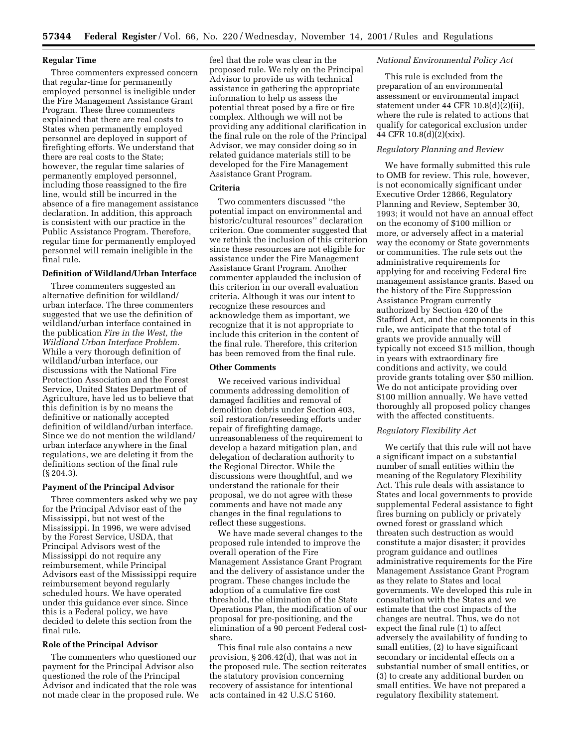#### **Regular Time**

Three commenters expressed concern that regular-time for permanently employed personnel is ineligible under the Fire Management Assistance Grant Program. These three commenters explained that there are real costs to States when permanently employed personnel are deployed in support of firefighting efforts. We understand that there are real costs to the State; however, the regular time salaries of permanently employed personnel, including those reassigned to the fire line, would still be incurred in the absence of a fire management assistance declaration. In addition, this approach is consistent with our practice in the Public Assistance Program. Therefore, regular time for permanently employed personnel will remain ineligible in the final rule.

# **Definition of Wildland/Urban Interface**

Three commenters suggested an alternative definition for wildland/ urban interface. The three commenters suggested that we use the definition of wildland/urban interface contained in the publication *Fire in the West, the Wildland Urban Interface Problem.* While a very thorough definition of wildland/urban interface, our discussions with the National Fire Protection Association and the Forest Service, United States Department of Agriculture, have led us to believe that this definition is by no means the definitive or nationally accepted definition of wildland/urban interface. Since we do not mention the wildland/ urban interface anywhere in the final regulations, we are deleting it from the definitions section of the final rule (§ 204.3).

#### **Payment of the Principal Advisor**

Three commenters asked why we pay for the Principal Advisor east of the Mississippi, but not west of the Mississippi. In 1996, we were advised by the Forest Service, USDA, that Principal Advisors west of the Mississippi do not require any reimbursement, while Principal Advisors east of the Mississippi require reimbursement beyond regularly scheduled hours. We have operated under this guidance ever since. Since this is a Federal policy, we have decided to delete this section from the final rule.

#### **Role of the Principal Advisor**

The commenters who questioned our payment for the Principal Advisor also questioned the role of the Principal Advisor and indicated that the role was not made clear in the proposed rule. We feel that the role was clear in the proposed rule. We rely on the Principal Advisor to provide us with technical assistance in gathering the appropriate information to help us assess the potential threat posed by a fire or fire complex. Although we will not be providing any additional clarification in the final rule on the role of the Principal Advisor, we may consider doing so in related guidance materials still to be developed for the Fire Management Assistance Grant Program.

# **Criteria**

Two commenters discussed ''the potential impact on environmental and historic/cultural resources'' declaration criterion. One commenter suggested that we rethink the inclusion of this criterion since these resources are not eligible for assistance under the Fire Management Assistance Grant Program. Another commenter applauded the inclusion of this criterion in our overall evaluation criteria. Although it was our intent to recognize these resources and acknowledge them as important, we recognize that it is not appropriate to include this criterion in the content of the final rule. Therefore, this criterion has been removed from the final rule.

# **Other Comments**

We received various individual comments addressing demolition of damaged facilities and removal of demolition debris under Section 403, soil restoration/reseeding efforts under repair of firefighting damage, unreasonableness of the requirement to develop a hazard mitigation plan, and delegation of declaration authority to the Regional Director. While the discussions were thoughtful, and we understand the rationale for their proposal, we do not agree with these comments and have not made any changes in the final regulations to reflect these suggestions.

We have made several changes to the proposed rule intended to improve the overall operation of the Fire Management Assistance Grant Program and the delivery of assistance under the program. These changes include the adoption of a cumulative fire cost threshold, the elimination of the State Operations Plan, the modification of our proposal for pre-positioning, and the elimination of a 90 percent Federal costshare.

This final rule also contains a new provision, § 206.42(d), that was not in the proposed rule. The section reiterates the statutory provision concerning recovery of assistance for intentional acts contained in 42 U.S.C 5160.

#### *National Environmental Policy Act*

This rule is excluded from the preparation of an environmental assessment or environmental impact statement under 44 CFR 10.8(d)(2)(ii), where the rule is related to actions that qualify for categorical exclusion under 44 CFR 10.8(d)(2)(xix).

# *Regulatory Planning and Review*

We have formally submitted this rule to OMB for review. This rule, however, is not economically significant under Executive Order 12866, Regulatory Planning and Review, September 30, 1993; it would not have an annual effect on the economy of \$100 million or more, or adversely affect in a material way the economy or State governments or communities. The rule sets out the administrative requirements for applying for and receiving Federal fire management assistance grants. Based on the history of the Fire Suppression Assistance Program currently authorized by Section 420 of the Stafford Act, and the components in this rule, we anticipate that the total of grants we provide annually will typically not exceed \$15 million, though in years with extraordinary fire conditions and activity, we could provide grants totaling over \$50 million. We do not anticipate providing over \$100 million annually. We have vetted thoroughly all proposed policy changes with the affected constituents.

#### *Regulatory Flexibility Act*

We certify that this rule will not have a significant impact on a substantial number of small entities within the meaning of the Regulatory Flexibility Act. This rule deals with assistance to States and local governments to provide supplemental Federal assistance to fight fires burning on publicly or privately owned forest or grassland which threaten such destruction as would constitute a major disaster; it provides program guidance and outlines administrative requirements for the Fire Management Assistance Grant Program as they relate to States and local governments. We developed this rule in consultation with the States and we estimate that the cost impacts of the changes are neutral. Thus, we do not expect the final rule (1) to affect adversely the availability of funding to small entities, (2) to have significant secondary or incidental effects on a substantial number of small entities, or (3) to create any additional burden on small entities. We have not prepared a regulatory flexibility statement.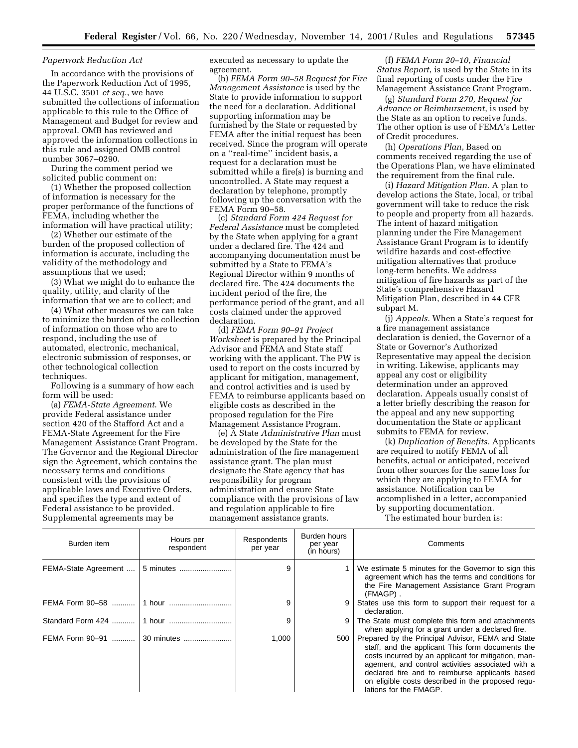#### *Paperwork Reduction Act*

In accordance with the provisions of the Paperwork Reduction Act of 1995, 44 U.S.C. 3501 *et seq.*, we have submitted the collections of information applicable to this rule to the Office of Management and Budget for review and approval. OMB has reviewed and approved the information collections in this rule and assigned OMB control number 3067–0290.

During the comment period we solicited public comment on:

(1) Whether the proposed collection of information is necessary for the proper performance of the functions of FEMA, including whether the information will have practical utility;

(2) Whether our estimate of the burden of the proposed collection of information is accurate, including the validity of the methodology and assumptions that we used;

(3) What we might do to enhance the quality, utility, and clarity of the information that we are to collect; and

(4) What other measures we can take to minimize the burden of the collection of information on those who are to respond, including the use of automated, electronic, mechanical, electronic submission of responses, or other technological collection techniques.

Following is a summary of how each form will be used:

(a) *FEMA-State Agreement*. We provide Federal assistance under section 420 of the Stafford Act and a FEMA-State Agreement for the Fire Management Assistance Grant Program. The Governor and the Regional Director sign the Agreement, which contains the necessary terms and conditions consistent with the provisions of applicable laws and Executive Orders, and specifies the type and extent of Federal assistance to be provided. Supplemental agreements may be

executed as necessary to update the agreement.

(b) *FEMA Form 90–58 Request for Fire Management Assistance* is used by the State to provide information to support the need for a declaration. Additional supporting information may be furnished by the State or requested by FEMA after the initial request has been received. Since the program will operate on a ''real-time'' incident basis, a request for a declaration must be submitted while a fire(s) is burning and uncontrolled. A State may request a declaration by telephone, promptly following up the conversation with the FEMA Form 90–58.

(c) *Standard Form 424 Request for Federal Assistance* must be completed by the State when applying for a grant under a declared fire. The 424 and accompanying documentation must be submitted by a State to FEMA's Regional Director within 9 months of declared fire. The 424 documents the incident period of the fire, the performance period of the grant, and all costs claimed under the approved declaration.

(d) *FEMA Form 90–91 Project Worksheet* is prepared by the Principal Advisor and FEMA and State staff working with the applicant. The PW is used to report on the costs incurred by applicant for mitigation, management, and control activities and is used by FEMA to reimburse applicants based on eligible costs as described in the proposed regulation for the Fire Management Assistance Program.

(e) A State *Administrative Plan* must be developed by the State for the administration of the fire management assistance grant. The plan must designate the State agency that has responsibility for program administration and ensure State compliance with the provisions of law and regulation applicable to fire management assistance grants.

(f) *FEMA Form 20–10, Financial Status Report*, is used by the State in its final reporting of costs under the Fire Management Assistance Grant Program.

(g) *Standard Form 270, Request for Advance or Reimbursement*, is used by the State as an option to receive funds. The other option is use of FEMA's Letter of Credit procedures.

(h) *Operations Plan*, Based on comments received regarding the use of the Operations Plan, we have eliminated the requirement from the final rule.

(i) *Hazard Mitigation Plan.* A plan to develop actions the State, local, or tribal government will take to reduce the risk to people and property from all hazards. The intent of hazard mitigation planning under the Fire Management Assistance Grant Program is to identify wildfire hazards and cost-effective mitigation alternatives that produce long-term benefits. We address mitigation of fire hazards as part of the State's comprehensive Hazard Mitigation Plan, described in 44 CFR subpart M.

(j) *Appeals.* When a State's request for a fire management assistance declaration is denied, the Governor of a State or Governor's Authorized Representative may appeal the decision in writing. Likewise, applicants may appeal any cost or eligibility determination under an approved declaration. Appeals usually consist of a letter briefly describing the reason for the appeal and any new supporting documentation the State or applicant submits to FEMA for review.

(k) *Duplication of Benefits.* Applicants are required to notify FEMA of all benefits, actual or anticipated, received from other sources for the same loss for which they are applying to FEMA for assistance. Notification can be accomplished in a letter, accompanied by supporting documentation.

The estimated hour burden is:

| Burden item          | Hours per<br>respondent | Respondents<br>per year | Burden hours<br>per year<br>(in hours) | Comments                                                                                                                                                                                                                                                                                                                                            |  |  |
|----------------------|-------------------------|-------------------------|----------------------------------------|-----------------------------------------------------------------------------------------------------------------------------------------------------------------------------------------------------------------------------------------------------------------------------------------------------------------------------------------------------|--|--|
| FEMA-State Agreement | 5 minutes               | 9                       |                                        | We estimate 5 minutes for the Governor to sign this<br>agreement which has the terms and conditions for<br>the Fire Management Assistance Grant Program<br>(FMAGP).                                                                                                                                                                                 |  |  |
|                      |                         | 9                       |                                        | States use this form to support their request for a<br>declaration.                                                                                                                                                                                                                                                                                 |  |  |
|                      |                         | 9                       |                                        | The State must complete this form and attachments<br>when applying for a grant under a declared fire.                                                                                                                                                                                                                                               |  |  |
| FEMA Form 90-91      | 30 minutes              | 1,000                   | 500 <sub>1</sub>                       | Prepared by the Principal Advisor, FEMA and State<br>staff, and the applicant This form documents the<br>costs incurred by an applicant for mitigation, man-<br>agement, and control activities associated with a<br>declared fire and to reimburse applicants based<br>on eligible costs described in the proposed regu-<br>lations for the FMAGP. |  |  |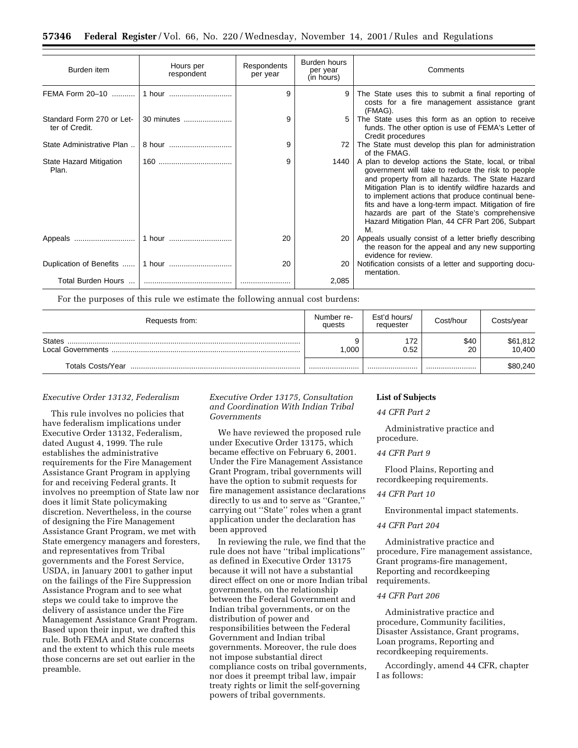| Burden item                                 | Hours per<br>respondent | Respondents<br>per year | Burden hours<br>per year<br>(in hours) | Comments                                                                                                                                                                                                                                                                                                                                                                                                                                     |  |  |
|---------------------------------------------|-------------------------|-------------------------|----------------------------------------|----------------------------------------------------------------------------------------------------------------------------------------------------------------------------------------------------------------------------------------------------------------------------------------------------------------------------------------------------------------------------------------------------------------------------------------------|--|--|
|                                             |                         | 9                       | 9                                      | The State uses this to submit a final reporting of<br>costs for a fire management assistance grant<br>(FMAG).                                                                                                                                                                                                                                                                                                                                |  |  |
| Standard Form 270 or Let-<br>ter of Credit. | 30 minutes              | 9                       | 5                                      | The State uses this form as an option to receive<br>funds. The other option is use of FEMA's Letter of<br>Credit procedures                                                                                                                                                                                                                                                                                                                  |  |  |
| State Administrative Plan                   | 8 hour                  | 9                       |                                        | The State must develop this plan for administration<br>of the FMAG.                                                                                                                                                                                                                                                                                                                                                                          |  |  |
| State Hazard Mitigation<br>Plan.            |                         | 9                       | 1440                                   | A plan to develop actions the State, local, or tribal<br>government will take to reduce the risk to people<br>and property from all hazards. The State Hazard<br>Mitigation Plan is to identify wildfire hazards and<br>to implement actions that produce continual bene-<br>fits and have a long-term impact. Mitigation of fire<br>hazards are part of the State's comprehensive<br>Hazard Mitigation Plan, 44 CFR Part 206, Subpart<br>M. |  |  |
|                                             |                         | 20                      | 20                                     | Appeals usually consist of a letter briefly describing<br>the reason for the appeal and any new supporting<br>evidence for review.                                                                                                                                                                                                                                                                                                           |  |  |
|                                             |                         | 20                      | 20                                     | Notification consists of a letter and supporting docu-<br>mentation.                                                                                                                                                                                                                                                                                                                                                                         |  |  |
|                                             |                         |                         | 2,085                                  |                                                                                                                                                                                                                                                                                                                                                                                                                                              |  |  |

For the purposes of this rule we estimate the following annual cost burdens:

| Requests from:    | Number re-<br>quests | Est'd hours/<br>requester | Cost/hour  | Costs/year         |
|-------------------|----------------------|---------------------------|------------|--------------------|
|                   | .000                 | 172<br>0.52               | \$40<br>20 | \$61,812<br>10,400 |
| Totals Costs/Year |                      |                           |            | \$80,240           |

#### *Executive Order 13132, Federalism*

This rule involves no policies that have federalism implications under Executive Order 13132, Federalism, dated August 4, 1999. The rule establishes the administrative requirements for the Fire Management Assistance Grant Program in applying for and receiving Federal grants. It involves no preemption of State law nor does it limit State policymaking discretion. Nevertheless, in the course of designing the Fire Management Assistance Grant Program, we met with State emergency managers and foresters, and representatives from Tribal governments and the Forest Service, USDA, in January 2001 to gather input on the failings of the Fire Suppression Assistance Program and to see what steps we could take to improve the delivery of assistance under the Fire Management Assistance Grant Program. Based upon their input, we drafted this rule. Both FEMA and State concerns and the extent to which this rule meets those concerns are set out earlier in the preamble.

*Executive Order 13175, Consultation and Coordination With Indian Tribal Governments*

We have reviewed the proposed rule under Executive Order 13175, which became effective on February 6, 2001. Under the Fire Management Assistance Grant Program, tribal governments will have the option to submit requests for fire management assistance declarations directly to us and to serve as ''Grantee,'' carrying out ''State'' roles when a grant application under the declaration has been approved

In reviewing the rule, we find that the rule does not have ''tribal implications'' as defined in Executive Order 13175 because it will not have a substantial direct effect on one or more Indian tribal governments, on the relationship between the Federal Government and Indian tribal governments, or on the distribution of power and responsibilities between the Federal Government and Indian tribal governments. Moreover, the rule does not impose substantial direct compliance costs on tribal governments, nor does it preempt tribal law, impair treaty rights or limit the self-governing powers of tribal governments.

#### **List of Subjects**

# *44 CFR Part 2*

Administrative practice and procedure.

#### *44 CFR Part 9*

Flood Plains, Reporting and recordkeeping requirements.

# *44 CFR Part 10*

Environmental impact statements.

#### *44 CFR Part 204*

Administrative practice and procedure, Fire management assistance, Grant programs-fire management, Reporting and recordkeeping requirements.

#### *44 CFR Part 206*

Administrative practice and procedure, Community facilities, Disaster Assistance, Grant programs, Loan programs, Reporting and recordkeeping requirements.

Accordingly, amend 44 CFR, chapter I as follows: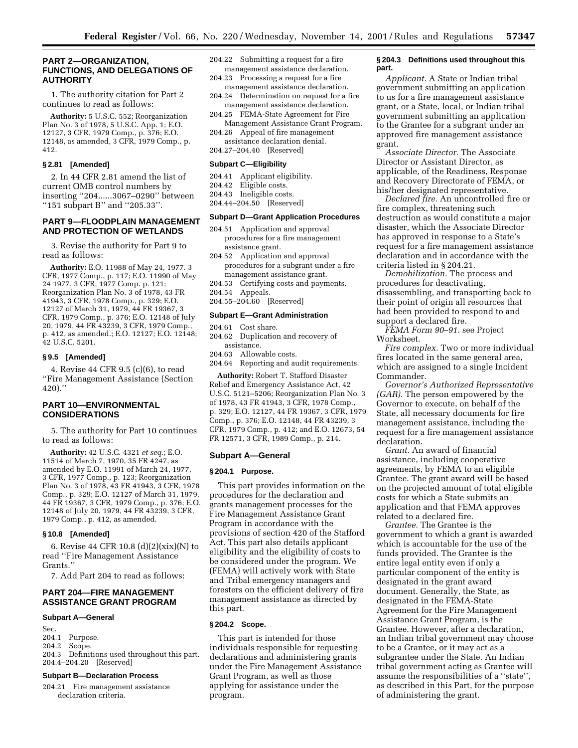#### **PART 2—ORGANIZATION, FUNCTIONS, AND DELEGATIONS OF AUTHORITY**

1. The authority citation for Part 2 continues to read as follows:

**Authority:** 5 U.S.C. 552; Reorganization Plan No. 3 of 1978, 5 U.S.C. App. 1; E.O. 12127, 3 CFR, 1979 Comp., p. 376; E.O. 12148, as amended, 3 CFR, 1979 Comp., p. 412.

#### **§ 2.81 [Amended]**

2. In 44 CFR 2.81 amend the list of current OMB control numbers by inserting ''204......3067–0290'' between ''151 subpart B'' and ''205.33''.

## **PART 9—FLOODPLAIN MANAGEMENT AND PROTECTION OF WETLANDS**

3. Revise the authority for Part 9 to read as follows:

**Authority:** E.O. 11988 of May 24, 1977. 3 CFR, 1977 Comp., p. 117; E.O. 11990 of May 24 1977, 3 CFR, 1977 Comp. p. 121; Reorganization Plan No. 3 of 1978, 43 FR 41943, 3 CFR, 1978 Comp., p. 329; E.O. 12127 of March 31, 1979, 44 FR 19367, 3 CFR, 1979 Comp., p. 376; E.O. 12148 of July 20, 1979, 44 FR 43239, 3 CFR, 1979 Comp., p. 412, as amended.; E.O. 12127; E.O. 12148; 42 U.S.C. 5201.

# **§ 9.5 [Amended]**

4. Revise 44 CFR 9.5 (c)(6), to read ''Fire Management Assistance (Section 420).''

# **PART 10—ENVIRONMENTAL CONSIDERATIONS**

5. The authority for Part 10 continues to read as follows:

**Authority:** 42 U.S.C. 4321 *et seq.*; E.O. 11514 of March 7, 1970, 35 FR 4247, as amended by E.O. 11991 of March 24, 1977, 3 CFR, 1977 Comp., p. 123; Reorganization Plan No. 3 of 1978, 43 FR 41943, 3 CFR, 1978 Comp., p. 329; E.O. 12127 of March 31, 1979, 44 FR 19367, 3 CFR, 1979 Comp., p. 376; E.O. 12148 of July 20, 1979, 44 FR 43239, 3 CFR, 1979 Comp., p. 412, as amended.

#### **§ 10.8 [Amended]**

6. Revise 44 CFR 10.8 (d)(2)(xix)(N) to read ''Fire Management Assistance Grants.''

7. Add Part 204 to read as follows:

# **PART 204—FIRE MANAGEMENT ASSISTANCE GRANT PROGRAM**

#### **Subpart A—General**

- Sec.<br>204.1 Purpose.
- 204.2 Scope.

204.3 Definitions used throughout this part. 204.4–204.20 [Reserved]

### **Subpart B—Declaration Process**

204.21 Fire management assistance declaration criteria.

- 204.22 Submitting a request for a fire management assistance declaration.
- 204.23 Processing a request for a fire management assistance declaration.
- 204.24 Determination on request for a fire management assistance declaration.
- 204.25 FEMA-State Agreement for Fire
- Management Assistance Grant Program. 204.26 Appeal of fire management
- assistance declaration denial. 204.27–204.40 [Reserved]

#### **Subpart C—Eligibility**

- 204.41 Applicant eligibility.
- 204.42 Eligible costs.
- 204.43 Ineligible costs.
- 204.44–204.50 [Reserved]

# **Subpart D—Grant Application Procedures**

- 204.51 Application and approval procedures for a fire management assistance grant.
- 204.52 Application and approval procedures for a subgrant under a fire management assistance grant.
- 204.53 Certifying costs and payments.
- 204.54 Appeals.
- 204.55–204.60 [Reserved]

## **Subpart E—Grant Administration**

204.61 Cost share.

- 204.62 Duplication and recovery of assistance.
- 204.63 Allowable costs.
- 204.64 Reporting and audit requirements.

**Authority:** Robert T. Stafford Disaster Relief and Emergency Assistance Act, 42 U.S.C. 5121–5206; Reorganization Plan No. 3 of 1978, 43 FR 41943, 3 CFR, 1978 Comp., p. 329; E.O. 12127, 44 FR 19367, 3 CFR, 1979 Comp., p. 376; E.O. 12148, 44 FR 43239, 3 CFR, 1979 Comp., p. 412; and E.O. 12673, 54 FR 12571, 3 CFR, 1989 Comp., p. 214.

#### **Subpart A—General**

#### **§ 204.1 Purpose.**

This part provides information on the procedures for the declaration and grants management processes for the Fire Management Assistance Grant Program in accordance with the provisions of section 420 of the Stafford Act. This part also details applicant eligibility and the eligibility of costs to be considered under the program. We (FEMA) will actively work with State and Tribal emergency managers and foresters on the efficient delivery of fire management assistance as directed by this part.

#### **§ 204.2 Scope.**

This part is intended for those individuals responsible for requesting declarations and administering grants under the Fire Management Assistance Grant Program, as well as those applying for assistance under the program.

#### **§ 204.3 Definitions used throughout this part.**

*Applicant.* A State or Indian tribal government submitting an application to us for a fire management assistance grant, or a State, local, or Indian tribal government submitting an application to the Grantee for a subgrant under an approved fire management assistance grant.

*Associate Director.* The Associate Director or Assistant Director, as applicable, of the Readiness, Response and Recovery Directorate of FEMA, or his/her designated representative.

*Declared fire.* An uncontrolled fire or fire complex, threatening such destruction as would constitute a major disaster, which the Associate Director has approved in response to a State's request for a fire management assistance declaration and in accordance with the criteria listed in § 204.21.

*Demobilization.* The process and procedures for deactivating, disassembling, and transporting back to their point of origin all resources that had been provided to respond to and support a declared fire.

*FEMA Form 90–91.* see Project Worksheet.

*Fire complex.* Two or more individual fires located in the same general area, which are assigned to a single Incident Commander.

*Governor's Authorized Representative (GAR).* The person empowered by the Governor to execute, on behalf of the State, all necessary documents for fire management assistance, including the request for a fire management assistance declaration.

*Grant.* An award of financial assistance, including cooperative agreements, by FEMA to an eligible Grantee. The grant award will be based on the projected amount of total eligible costs for which a State submits an application and that FEMA approves related to a declared fire.

*Grantee.* The Grantee is the government to which a grant is awarded which is accountable for the use of the funds provided. The Grantee is the entire legal entity even if only a particular component of the entity is designated in the grant award document. Generally, the State, as designated in the FEMA-State Agreement for the Fire Management Assistance Grant Program, is the Grantee. However, after a declaration, an Indian tribal government may choose to be a Grantee, or it may act as a subgrantee under the State. An Indian tribal government acting as Grantee will assume the responsibilities of a ''state'', as described in this Part, for the purpose of administering the grant.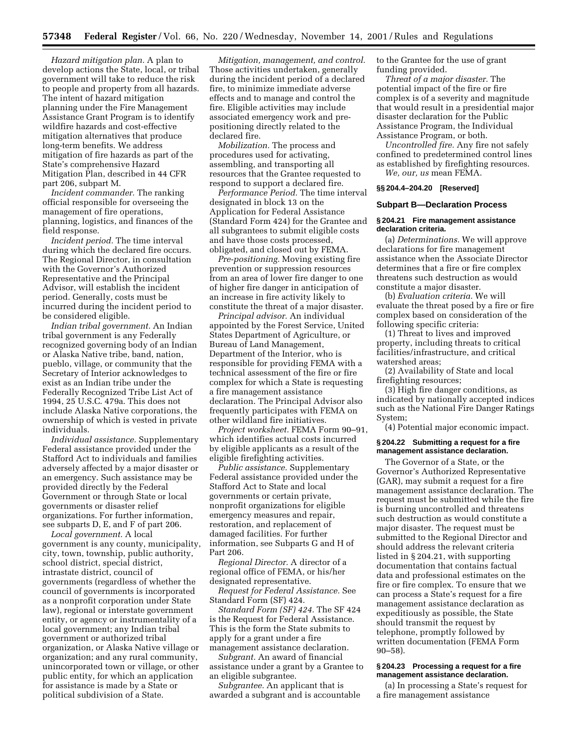*Hazard mitigation plan.* A plan to develop actions the State, local, or tribal government will take to reduce the risk to people and property from all hazards. The intent of hazard mitigation planning under the Fire Management Assistance Grant Program is to identify wildfire hazards and cost-effective mitigation alternatives that produce long-term benefits. We address mitigation of fire hazards as part of the State's comprehensive Hazard Mitigation Plan, described in 44 CFR part 206, subpart M.

*Incident commander.* The ranking official responsible for overseeing the management of fire operations, planning, logistics, and finances of the field response.

*Incident period.* The time interval during which the declared fire occurs. The Regional Director, in consultation with the Governor's Authorized Representative and the Principal Advisor, will establish the incident period. Generally, costs must be incurred during the incident period to be considered eligible.

*Indian tribal government.* An Indian tribal government is any Federally recognized governing body of an Indian or Alaska Native tribe, band, nation, pueblo, village, or community that the Secretary of Interior acknowledges to exist as an Indian tribe under the Federally Recognized Tribe List Act of 1994, 25 U.S.C. 479a. This does not include Alaska Native corporations, the ownership of which is vested in private individuals.

*Individual assistance.* Supplementary Federal assistance provided under the Stafford Act to individuals and families adversely affected by a major disaster or an emergency. Such assistance may be provided directly by the Federal Government or through State or local governments or disaster relief organizations. For further information, see subparts D, E, and F of part 206.

*Local government.* A local government is any county, municipality, city, town, township, public authority, school district, special district, intrastate district, council of governments (regardless of whether the council of governments is incorporated as a nonprofit corporation under State law), regional or interstate government entity, or agency or instrumentality of a local government; any Indian tribal government or authorized tribal organization, or Alaska Native village or organization; and any rural community, unincorporated town or village, or other public entity, for which an application for assistance is made by a State or political subdivision of a State.

*Mitigation, management, and control.* Those activities undertaken, generally during the incident period of a declared fire, to minimize immediate adverse effects and to manage and control the fire. Eligible activities may include associated emergency work and prepositioning directly related to the declared fire.

*Mobilization.* The process and procedures used for activating, assembling, and transporting all resources that the Grantee requested to respond to support a declared fire.

*Performance Period.* The time interval designated in block 13 on the Application for Federal Assistance (Standard Form 424) for the Grantee and all subgrantees to submit eligible costs and have those costs processed, obligated, and closed out by FEMA.

*Pre-positioning.* Moving existing fire prevention or suppression resources from an area of lower fire danger to one of higher fire danger in anticipation of an increase in fire activity likely to constitute the threat of a major disaster.

*Principal advisor.* An individual appointed by the Forest Service, United States Department of Agriculture, or Bureau of Land Management, Department of the Interior, who is responsible for providing FEMA with a technical assessment of the fire or fire complex for which a State is requesting a fire management assistance declaration. The Principal Advisor also frequently participates with FEMA on other wildland fire initiatives.

*Project worksheet.* FEMA Form 90–91, which identifies actual costs incurred by eligible applicants as a result of the eligible firefighting activities.

*Public assistance.* Supplementary Federal assistance provided under the Stafford Act to State and local governments or certain private, nonprofit organizations for eligible emergency measures and repair, restoration, and replacement of damaged facilities. For further information, see Subparts G and H of Part 206.

*Regional Director.* A director of a regional office of FEMA, or his/her designated representative.

*Request for Federal Assistance.* See Standard Form (SF) 424.

*Standard Form (SF) 424.* The SF 424 is the Request for Federal Assistance. This is the form the State submits to apply for a grant under a fire management assistance declaration.

*Subgrant.* An award of financial assistance under a grant by a Grantee to an eligible subgrantee.

*Subgrantee.* An applicant that is awarded a subgrant and is accountable to the Grantee for the use of grant funding provided.

*Threat of a major disaster.* The potential impact of the fire or fire complex is of a severity and magnitude that would result in a presidential major disaster declaration for the Public Assistance Program, the Individual Assistance Program, or both.

*Uncontrolled fire.* Any fire not safely confined to predetermined control lines as established by firefighting resources. *We, our, us* mean FEMA.

# **§§ 204.4–204.20 [Reserved]**

#### **Subpart B—Declaration Process**

#### **§ 204.21 Fire management assistance declaration criteria.**

(a) *Determinations.* We will approve declarations for fire management assistance when the Associate Director determines that a fire or fire complex threatens such destruction as would constitute a major disaster.

(b) *Evaluation criteria.* We will evaluate the threat posed by a fire or fire complex based on consideration of the following specific criteria:

(1) Threat to lives and improved property, including threats to critical facilities/infrastructure, and critical watershed areas;

(2) Availability of State and local firefighting resources;

(3) High fire danger conditions, as indicated by nationally accepted indices such as the National Fire Danger Ratings System;

(4) Potential major economic impact.

#### **§ 204.22 Submitting a request for a fire management assistance declaration.**

The Governor of a State, or the Governor's Authorized Representative (GAR), may submit a request for a fire management assistance declaration. The request must be submitted while the fire is burning uncontrolled and threatens such destruction as would constitute a major disaster. The request must be submitted to the Regional Director and should address the relevant criteria listed in § 204.21, with supporting documentation that contains factual data and professional estimates on the fire or fire complex. To ensure that we can process a State's request for a fire management assistance declaration as expeditiously as possible, the State should transmit the request by telephone, promptly followed by written documentation (FEMA Form 90–58).

#### **§ 204.23 Processing a request for a fire management assistance declaration.**

(a) In processing a State's request for a fire management assistance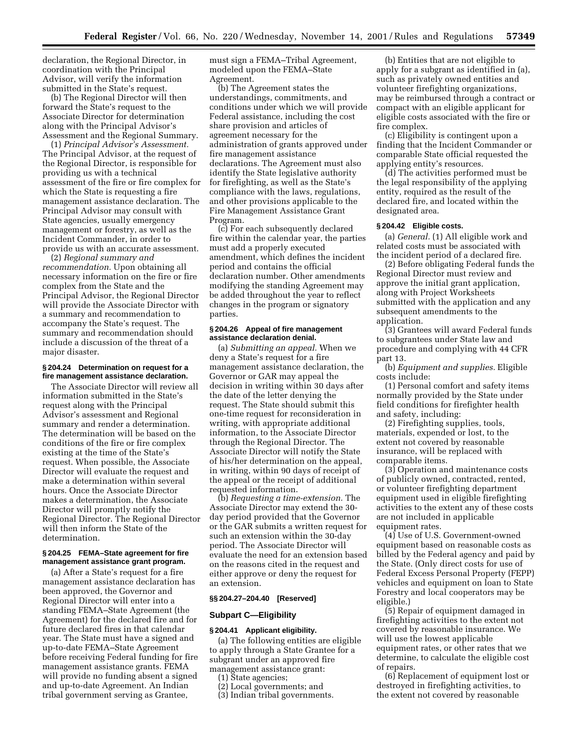declaration, the Regional Director, in coordination with the Principal Advisor, will verify the information submitted in the State's request.

(b) The Regional Director will then forward the State's request to the Associate Director for determination along with the Principal Advisor's Assessment and the Regional Summary.

(1) *Principal Advisor's Assessment.* The Principal Advisor, at the request of the Regional Director, is responsible for providing us with a technical assessment of the fire or fire complex for which the State is requesting a fire management assistance declaration. The Principal Advisor may consult with State agencies, usually emergency management or forestry, as well as the Incident Commander, in order to provide us with an accurate assessment.

(2) *Regional summary and recommendation.* Upon obtaining all necessary information on the fire or fire complex from the State and the Principal Advisor, the Regional Director will provide the Associate Director with a summary and recommendation to accompany the State's request. The summary and recommendation should include a discussion of the threat of a major disaster.

# **§ 204.24 Determination on request for a fire management assistance declaration.**

The Associate Director will review all information submitted in the State's request along with the Principal Advisor's assessment and Regional summary and render a determination. The determination will be based on the conditions of the fire or fire complex existing at the time of the State's request. When possible, the Associate Director will evaluate the request and make a determination within several hours. Once the Associate Director makes a determination, the Associate Director will promptly notify the Regional Director. The Regional Director will then inform the State of the determination.

#### **§ 204.25 FEMA–State agreement for fire management assistance grant program.**

(a) After a State's request for a fire management assistance declaration has been approved, the Governor and Regional Director will enter into a standing FEMA–State Agreement (the Agreement) for the declared fire and for future declared fires in that calendar year. The State must have a signed and up-to-date FEMA–State Agreement before receiving Federal funding for fire management assistance grants. FEMA will provide no funding absent a signed and up-to-date Agreement. An Indian tribal government serving as Grantee,

must sign a FEMA–Tribal Agreement, modeled upon the FEMA–State Agreement.

(b) The Agreement states the understandings, commitments, and conditions under which we will provide Federal assistance, including the cost share provision and articles of agreement necessary for the administration of grants approved under fire management assistance declarations. The Agreement must also identify the State legislative authority for firefighting, as well as the State's compliance with the laws, regulations, and other provisions applicable to the Fire Management Assistance Grant Program.

(c) For each subsequently declared fire within the calendar year, the parties must add a properly executed amendment, which defines the incident period and contains the official declaration number. Other amendments modifying the standing Agreement may be added throughout the year to reflect changes in the program or signatory parties.

#### **§ 204.26 Appeal of fire management assistance declaration denial.**

(a) *Submitting an appeal.* When we deny a State's request for a fire management assistance declaration, the Governor or GAR may appeal the decision in writing within 30 days after the date of the letter denying the request. The State should submit this one-time request for reconsideration in writing, with appropriate additional information, to the Associate Director through the Regional Director. The Associate Director will notify the State of his/her determination on the appeal, in writing, within 90 days of receipt of the appeal or the receipt of additional requested information.

(b) *Requesting a time-extension.* The Associate Director may extend the 30 day period provided that the Governor or the GAR submits a written request for such an extension within the 30-day period. The Associate Director will evaluate the need for an extension based on the reasons cited in the request and either approve or deny the request for an extension.

#### **§§ 204.27–204.40 [Reserved]**

#### **Subpart C—Eligibility**

#### **§ 204.41 Applicant eligibility.**

(a) The following entities are eligible to apply through a State Grantee for a subgrant under an approved fire management assistance grant:

- (1) State agencies;
- (2) Local governments; and
- (3) Indian tribal governments.

(b) Entities that are not eligible to apply for a subgrant as identified in (a), such as privately owned entities and volunteer firefighting organizations, may be reimbursed through a contract or compact with an eligible applicant for eligible costs associated with the fire or fire complex.

(c) Eligibility is contingent upon a finding that the Incident Commander or comparable State official requested the applying entity's resources.

(d) The activities performed must be the legal responsibility of the applying entity, required as the result of the declared fire, and located within the designated area.

#### **§ 204.42 Eligible costs.**

(a) *General.* (1) All eligible work and related costs must be associated with the incident period of a declared fire.

(2) Before obligating Federal funds the Regional Director must review and approve the initial grant application, along with Project Worksheets submitted with the application and any subsequent amendments to the application.

(3) Grantees will award Federal funds to subgrantees under State law and procedure and complying with 44 CFR part 13.

(b) *Equipment and supplies.* Eligible costs include:

(1) Personal comfort and safety items normally provided by the State under field conditions for firefighter health and safety, including:

(2) Firefighting supplies, tools, materials, expended or lost, to the extent not covered by reasonable insurance, will be replaced with comparable items.

(3) Operation and maintenance costs of publicly owned, contracted, rented, or volunteer firefighting department equipment used in eligible firefighting activities to the extent any of these costs are not included in applicable equipment rates.

(4) Use of U.S. Government-owned equipment based on reasonable costs as billed by the Federal agency and paid by the State. (Only direct costs for use of Federal Excess Personal Property (FEPP) vehicles and equipment on loan to State Forestry and local cooperators may be eligible.)

(5) Repair of equipment damaged in firefighting activities to the extent not covered by reasonable insurance. We will use the lowest applicable equipment rates, or other rates that we determine, to calculate the eligible cost of repairs.

(6) Replacement of equipment lost or destroyed in firefighting activities, to the extent not covered by reasonable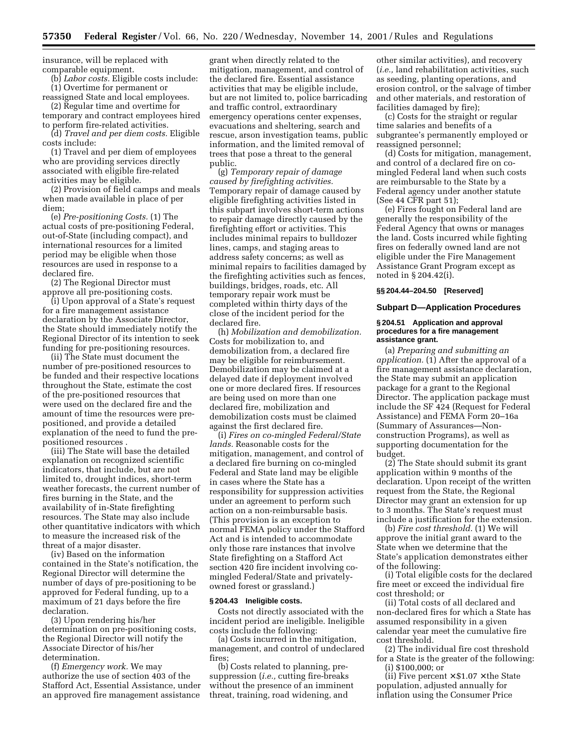insurance, will be replaced with comparable equipment.

(b) *Labor costs.* Eligible costs include: (1) Overtime for permanent or

reassigned State and local employees. (2) Regular time and overtime for

temporary and contract employees hired to perform fire-related activities.

(d) *Travel and per diem costs.* Eligible costs include:

(1) Travel and per diem of employees who are providing services directly associated with eligible fire-related activities may be eligible.

(2) Provision of field camps and meals when made available in place of per diem;

(e) *Pre-positioning Costs.* (1) The actual costs of pre-positioning Federal, out-of-State (including compact), and international resources for a limited period may be eligible when those resources are used in response to a declared fire.

(2) The Regional Director must approve all pre-positioning costs.

(i) Upon approval of a State's request for a fire management assistance declaration by the Associate Director, the State should immediately notify the Regional Director of its intention to seek funding for pre-positioning resources.

(ii) The State must document the number of pre-positioned resources to be funded and their respective locations throughout the State, estimate the cost of the pre-positioned resources that were used on the declared fire and the amount of time the resources were prepositioned, and provide a detailed explanation of the need to fund the prepositioned resources .

(iii) The State will base the detailed explanation on recognized scientific indicators, that include, but are not limited to, drought indices, short-term weather forecasts, the current number of fires burning in the State, and the availability of in-State firefighting resources. The State may also include other quantitative indicators with which to measure the increased risk of the threat of a major disaster.

(iv) Based on the information contained in the State's notification, the Regional Director will determine the number of days of pre-positioning to be approved for Federal funding, up to a maximum of 21 days before the fire declaration.

(3) Upon rendering his/her determination on pre-positioning costs, the Regional Director will notify the Associate Director of his/her determination.

(f) *Emergency work.* We may authorize the use of section 403 of the Stafford Act, Essential Assistance, under an approved fire management assistance

grant when directly related to the mitigation, management, and control of the declared fire. Essential assistance activities that may be eligible include, but are not limited to, police barricading and traffic control, extraordinary emergency operations center expenses, evacuations and sheltering, search and rescue, arson investigation teams, public information, and the limited removal of trees that pose a threat to the general public.

(g) *Temporary repair of damage caused by firefighting activities.* Temporary repair of damage caused by eligible firefighting activities listed in this subpart involves short-term actions to repair damage directly caused by the firefighting effort or activities. This includes minimal repairs to bulldozer lines, camps, and staging areas to address safety concerns; as well as minimal repairs to facilities damaged by the firefighting activities such as fences, buildings, bridges, roads, etc. All temporary repair work must be completed within thirty days of the close of the incident period for the declared fire.

(h) *Mobilization and demobilization.* Costs for mobilization to, and demobilization from, a declared fire may be eligible for reimbursement. Demobilization may be claimed at a delayed date if deployment involved one or more declared fires. If resources are being used on more than one declared fire, mobilization and demobilization costs must be claimed against the first declared fire.

(i) *Fires on co-mingled Federal/State lands.* Reasonable costs for the mitigation, management, and control of a declared fire burning on co-mingled Federal and State land may be eligible in cases where the State has a responsibility for suppression activities under an agreement to perform such action on a non-reimbursable basis. (This provision is an exception to normal FEMA policy under the Stafford Act and is intended to accommodate only those rare instances that involve State firefighting on a Stafford Act section 420 fire incident involving comingled Federal/State and privatelyowned forest or grassland.)

#### **§ 204.43 Ineligible costs.**

Costs not directly associated with the incident period are ineligible. Ineligible costs include the following:

(a) Costs incurred in the mitigation, management, and control of undeclared fires;

(b) Costs related to planning, presuppression (*i.e.,* cutting fire-breaks without the presence of an imminent threat, training, road widening, and

other similar activities), and recovery (*i.e.,* land rehabilitation activities, such as seeding, planting operations, and erosion control, or the salvage of timber and other materials, and restoration of facilities damaged by fire);

(c) Costs for the straight or regular time salaries and benefits of a subgrantee's permanently employed or reassigned personnel;

(d) Costs for mitigation, management, and control of a declared fire on comingled Federal land when such costs are reimbursable to the State by a Federal agency under another statute (See 44 CFR part 51);

(e) Fires fought on Federal land are generally the responsibility of the Federal Agency that owns or manages the land. Costs incurred while fighting fires on federally owned land are not eligible under the Fire Management Assistance Grant Program except as noted in § 204.42(i).

#### **§§ 204.44–204.50 [Reserved]**

#### **Subpart D—Application Procedures**

#### **§ 204.51 Application and approval procedures for a fire management assistance grant.**

(a) *Preparing and submitting an application.* (1) After the approval of a fire management assistance declaration, the State may submit an application package for a grant to the Regional Director. The application package must include the SF 424 (Request for Federal Assistance) and FEMA Form 20–16a (Summary of Assurances—Nonconstruction Programs), as well as supporting documentation for the budget.

(2) The State should submit its grant application within 9 months of the declaration. Upon receipt of the written request from the State, the Regional Director may grant an extension for up to 3 months. The State's request must include a justification for the extension.

(b) *Fire cost threshold.* (1) We will approve the initial grant award to the State when we determine that the State's application demonstrates either of the following:

(i) Total eligible costs for the declared fire meet or exceed the individual fire cost threshold; or

(ii) Total costs of all declared and non-declared fires for which a State has assumed responsibility in a given calendar year meet the cumulative fire cost threshold.

(2) The individual fire cost threshold for a State is the greater of the following: (i) \$100,000; or

(ii) Five percent  $\times$  \$1.07  $\times$  the State population, adjusted annually for inflation using the Consumer Price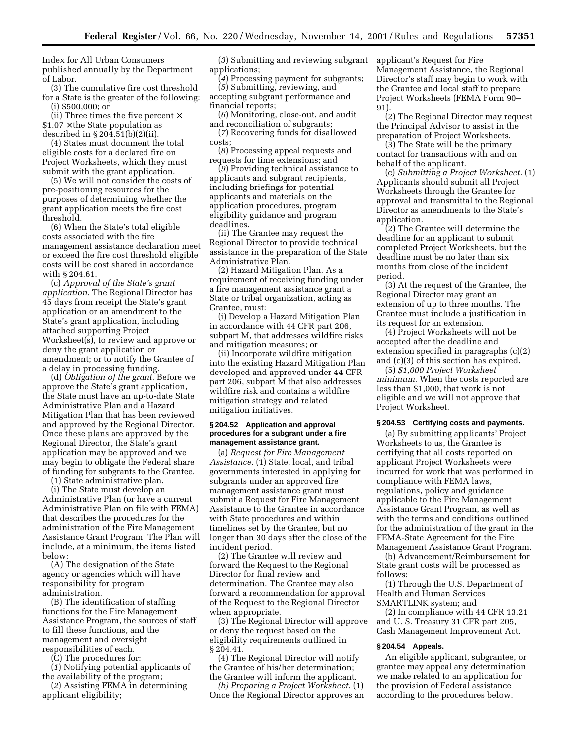Index for All Urban Consumers published annually by the Department of Labor.

(3) The cumulative fire cost threshold for a State is the greater of the following: (i) \$500,000; or

(ii) Three times the five percent  $\times$  $$1.07 \times$  the State population as described in § 204.51(b)(2)(ii).

(4) States must document the total eligible costs for a declared fire on Project Worksheets, which they must submit with the grant application.

(5) We will not consider the costs of pre-positioning resources for the purposes of determining whether the grant application meets the fire cost threshold.

(6) When the State's total eligible costs associated with the fire management assistance declaration meet or exceed the fire cost threshold eligible costs will be cost shared in accordance with § 204.61.

(c) *Approval of the State's grant application.* The Regional Director has 45 days from receipt the State's grant application or an amendment to the State's grant application, including attached supporting Project Worksheet(s), to review and approve or deny the grant application or amendment; or to notify the Grantee of a delay in processing funding.

(d) *Obligation of the grant.* Before we approve the State's grant application, the State must have an up-to-date State Administrative Plan and a Hazard Mitigation Plan that has been reviewed and approved by the Regional Director. Once these plans are approved by the Regional Director, the State's grant application may be approved and we may begin to obligate the Federal share of funding for subgrants to the Grantee.

(1) State administrative plan.

(i) The State must develop an Administrative Plan (or have a current Administrative Plan on file with FEMA) that describes the procedures for the administration of the Fire Management Assistance Grant Program. The Plan will include, at a minimum, the items listed below:

(A) The designation of the State agency or agencies which will have responsibility for program administration.

(B) The identification of staffing functions for the Fire Management Assistance Program, the sources of staff to fill these functions, and the management and oversight responsibilities of each.

(C) The procedures for:

(*1*) Notifying potential applicants of the availability of the program;

(*2*) Assisting FEMA in determining applicant eligibility;

(*3*) Submitting and reviewing subgrant applications;

(*4*) Processing payment for subgrants; (*5*) Submitting, reviewing, and accepting subgrant performance and financial reports;

(*6*) Monitoring, close-out, and audit and reconciliation of subgrants;

(*7*) Recovering funds for disallowed costs;

(*8*) Processing appeal requests and requests for time extensions; and

(*9*) Providing technical assistance to applicants and subgrant recipients, including briefings for potential applicants and materials on the application procedures, program eligibility guidance and program deadlines.

(ii) The Grantee may request the Regional Director to provide technical assistance in the preparation of the State Administrative Plan.

(2) Hazard Mitigation Plan. As a requirement of receiving funding under a fire management assistance grant a State or tribal organization, acting as Grantee, must:

(i) Develop a Hazard Mitigation Plan in accordance with 44 CFR part 206, subpart M, that addresses wildfire risks and mitigation measures; or

(ii) Incorporate wildfire mitigation into the existing Hazard Mitigation Plan developed and approved under 44 CFR part 206, subpart M that also addresses wildfire risk and contains a wildfire mitigation strategy and related mitigation initiatives.

#### **§ 204.52 Application and approval procedures for a subgrant under a fire management assistance grant.**

(a) *Request for Fire Management Assistance.* (1) State, local, and tribal governments interested in applying for subgrants under an approved fire management assistance grant must submit a Request for Fire Management Assistance to the Grantee in accordance with State procedures and within timelines set by the Grantee, but no longer than 30 days after the close of the incident period.

(2) The Grantee will review and forward the Request to the Regional Director for final review and determination. The Grantee may also forward a recommendation for approval of the Request to the Regional Director when appropriate.

(3) The Regional Director will approve or deny the request based on the eligibility requirements outlined in § 204.41.

(4) The Regional Director will notify the Grantee of his/her determination; the Grantee will inform the applicant.

*(b) Preparing a Project Worksheet.* (1) Once the Regional Director approves an applicant's Request for Fire Management Assistance, the Regional Director's staff may begin to work with the Grantee and local staff to prepare Project Worksheets (FEMA Form 90– 91).

(2) The Regional Director may request the Principal Advisor to assist in the preparation of Project Worksheets.

(3) The State will be the primary contact for transactions with and on behalf of the applicant.

(c) *Submitting a Project Worksheet.* (1) Applicants should submit all Project Worksheets through the Grantee for approval and transmittal to the Regional Director as amendments to the State's application.

(2) The Grantee will determine the deadline for an applicant to submit completed Project Worksheets, but the deadline must be no later than six months from close of the incident period.

(3) At the request of the Grantee, the Regional Director may grant an extension of up to three months. The Grantee must include a justification in its request for an extension.

(4) Project Worksheets will not be accepted after the deadline and extension specified in paragraphs (c)(2) and (c)(3) of this section has expired.

(5) *\$1,000 Project Worksheet minimum.* When the costs reported are less than \$1,000, that work is not eligible and we will not approve that Project Worksheet.

#### **§ 204.53 Certifying costs and payments.**

(a) By submitting applicants' Project Worksheets to us, the Grantee is certifying that all costs reported on applicant Project Worksheets were incurred for work that was performed in compliance with FEMA laws, regulations, policy and guidance applicable to the Fire Management Assistance Grant Program, as well as with the terms and conditions outlined for the administration of the grant in the FEMA-State Agreement for the Fire Management Assistance Grant Program.

(b) Advancement/Reimbursement for State grant costs will be processed as follows:

(1) Through the U.S. Department of Health and Human Services SMARTLINK system; and

(2) In compliance with 44 CFR 13.21 and U. S. Treasury 31 CFR part 205, Cash Management Improvement Act.

#### **§ 204.54 Appeals.**

An eligible applicant, subgrantee, or grantee may appeal any determination we make related to an application for the provision of Federal assistance according to the procedures below.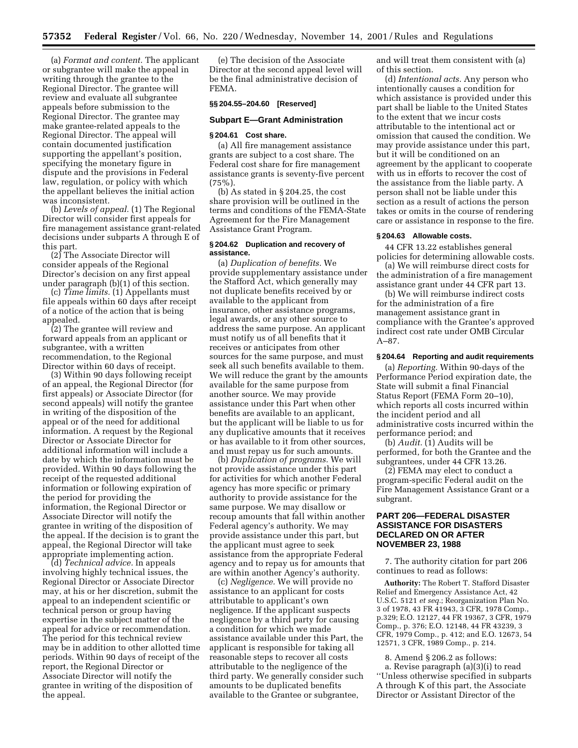(a) *Format and content.* The applicant or subgrantee will make the appeal in writing through the grantee to the Regional Director. The grantee will review and evaluate all subgrantee appeals before submission to the Regional Director. The grantee may make grantee-related appeals to the Regional Director. The appeal will contain documented justification supporting the appellant's position, specifying the monetary figure in dispute and the provisions in Federal law, regulation, or policy with which the appellant believes the initial action was inconsistent.

(b) *Levels of appeal.* (1) The Regional Director will consider first appeals for fire management assistance grant-related decisions under subparts A through E of this part.

(2) The Associate Director will consider appeals of the Regional Director's decision on any first appeal under paragraph (b)(1) of this section.

(c) *Time limits.* (1) Appellants must file appeals within 60 days after receipt of a notice of the action that is being appealed.

(2) The grantee will review and forward appeals from an applicant or subgrantee, with a written recommendation, to the Regional Director within 60 days of receipt.

(3) Within 90 days following receipt of an appeal, the Regional Director (for first appeals) or Associate Director (for second appeals) will notify the grantee in writing of the disposition of the appeal or of the need for additional information. A request by the Regional Director or Associate Director for additional information will include a date by which the information must be provided. Within 90 days following the receipt of the requested additional information or following expiration of the period for providing the information, the Regional Director or Associate Director will notify the grantee in writing of the disposition of the appeal. If the decision is to grant the appeal, the Regional Director will take appropriate implementing action.

(d) *Technical advice.* In appeals involving highly technical issues, the Regional Director or Associate Director may, at his or her discretion, submit the appeal to an independent scientific or technical person or group having expertise in the subject matter of the appeal for advice or recommendation. The period for this technical review may be in addition to other allotted time periods. Within 90 days of receipt of the report, the Regional Director or Associate Director will notify the grantee in writing of the disposition of the appeal.

(e) The decision of the Associate Director at the second appeal level will be the final administrative decision of FEMA.

#### **§§ 204.55–204.60 [Reserved]**

#### **Subpart E—Grant Administration**

#### **§ 204.61 Cost share.**

(a) All fire management assistance grants are subject to a cost share. The Federal cost share for fire management assistance grants is seventy-five percent  $(75\%)$ .

(b) As stated in § 204.25, the cost share provision will be outlined in the terms and conditions of the FEMA-State Agreement for the Fire Management Assistance Grant Program.

#### **§ 204.62 Duplication and recovery of assistance.**

(a) *Duplication of benefits.* We provide supplementary assistance under the Stafford Act, which generally may not duplicate benefits received by or available to the applicant from insurance, other assistance programs, legal awards, or any other source to address the same purpose. An applicant must notify us of all benefits that it receives or anticipates from other sources for the same purpose, and must seek all such benefits available to them. We will reduce the grant by the amounts available for the same purpose from another source. We may provide assistance under this Part when other benefits are available to an applicant, but the applicant will be liable to us for any duplicative amounts that it receives or has available to it from other sources, and must repay us for such amounts.

(b) *Duplication of programs.* We will not provide assistance under this part for activities for which another Federal agency has more specific or primary authority to provide assistance for the same purpose. We may disallow or recoup amounts that fall within another Federal agency's authority. We may provide assistance under this part, but the applicant must agree to seek assistance from the appropriate Federal agency and to repay us for amounts that are within another Agency's authority.

(c) *Negligence.* We will provide no assistance to an applicant for costs attributable to applicant's own negligence. If the applicant suspects negligence by a third party for causing a condition for which we made assistance available under this Part, the applicant is responsible for taking all reasonable steps to recover all costs attributable to the negligence of the third party. We generally consider such amounts to be duplicated benefits available to the Grantee or subgrantee,

and will treat them consistent with (a) of this section.

(d) *Intentional acts.* Any person who intentionally causes a condition for which assistance is provided under this part shall be liable to the United States to the extent that we incur costs attributable to the intentional act or omission that caused the condition. We may provide assistance under this part, but it will be conditioned on an agreement by the applicant to cooperate with us in efforts to recover the cost of the assistance from the liable party. A person shall not be liable under this section as a result of actions the person takes or omits in the course of rendering care or assistance in response to the fire.

#### **§ 204.63 Allowable costs.**

44 CFR 13.22 establishes general policies for determining allowable costs.

(a) We will reimburse direct costs for the administration of a fire management assistance grant under 44 CFR part 13.

(b) We will reimburse indirect costs for the administration of a fire management assistance grant in compliance with the Grantee's approved indirect cost rate under OMB Circular A–87.

# **§ 204.64 Reporting and audit requirements**

(a) *Reporting.* Within 90-days of the Performance Period expiration date, the State will submit a final Financial Status Report (FEMA Form 20–10), which reports all costs incurred within the incident period and all administrative costs incurred within the performance period; and

(b) *Audit.* (1) Audits will be performed, for both the Grantee and the subgrantees, under 44 CFR 13.26.

(2) FEMA may elect to conduct a program-specific Federal audit on the Fire Management Assistance Grant or a subgrant.

# **PART 206—FEDERAL DISASTER ASSISTANCE FOR DISASTERS DECLARED ON OR AFTER NOVEMBER 23, 1988**

7. The authority citation for part 206 continues to read as follows:

**Authority:** The Robert T. Stafford Disaster Relief and Emergency Assistance Act, 42 U.S.C. 5121 *et seq.*; Reorganization Plan No. 3 of 1978, 43 FR 41943, 3 CFR, 1978 Comp., p.329; E.O. 12127, 44 FR 19367, 3 CFR, 1979 Comp., p. 376; E.O. 12148, 44 FR 43239, 3 CFR, 1979 Comp., p. 412; and E.O. 12673, 54 12571, 3 CFR, 1989 Comp., p. 214.

8. Amend § 206.2 as follows: a. Revise paragraph (a)(3)(i) to read ''Unless otherwise specified in subparts A through K of this part, the Associate Director or Assistant Director of the